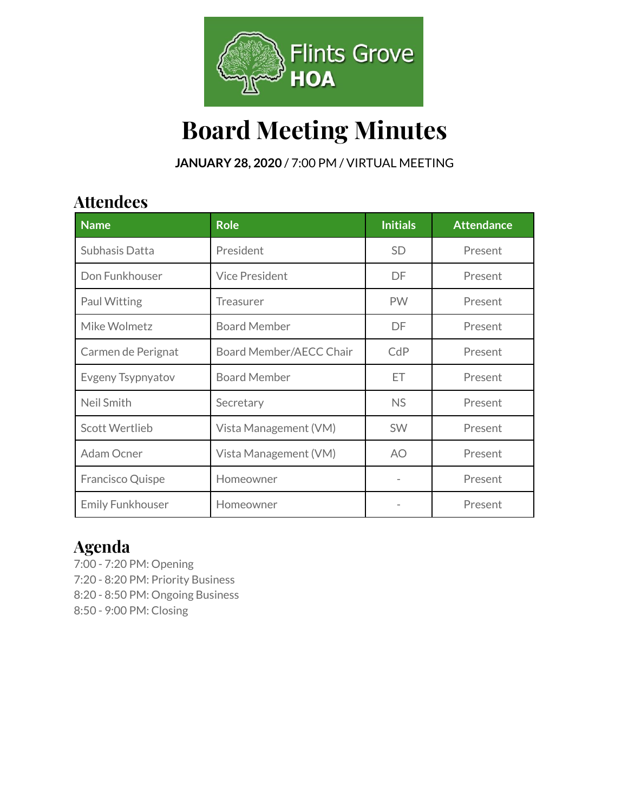

# **Board Meeting Minutes**

**JANUARY 28, 2020** / 7:00 PM / VIRTUAL MEETING

### **Attendees**

| <b>Name</b>             | <b>Role</b>             | <b>Initials</b> | <b>Attendance</b> |
|-------------------------|-------------------------|-----------------|-------------------|
| Subhasis Datta          | President               | <b>SD</b>       | Present           |
| Don Funkhouser          | <b>Vice President</b>   | DF              | Present           |
| Paul Witting            | Treasurer               | <b>PW</b>       | Present           |
| Mike Wolmetz            | <b>Board Member</b>     | DF              | Present           |
| Carmen de Perignat      | Board Member/AECC Chair | CdP             | Present           |
| Evgeny Tsypnyatov       | <b>Board Member</b>     | ET              | Present           |
| Neil Smith              | Secretary               | <b>NS</b>       | Present           |
| Scott Wertlieb          | Vista Management (VM)   | <b>SW</b>       | Present           |
| Adam Ocner              | Vista Management (VM)   | AO.             | Present           |
| Francisco Quispe        | Homeowner               |                 | Present           |
| <b>Emily Funkhouser</b> | Homeowner               |                 | Present           |

### **Agenda**

7:00 - 7:20 PM: Opening 7:20 - 8:20 PM: Priority Business 8:20 - 8:50 PM: Ongoing Business 8:50 - 9:00 PM: Closing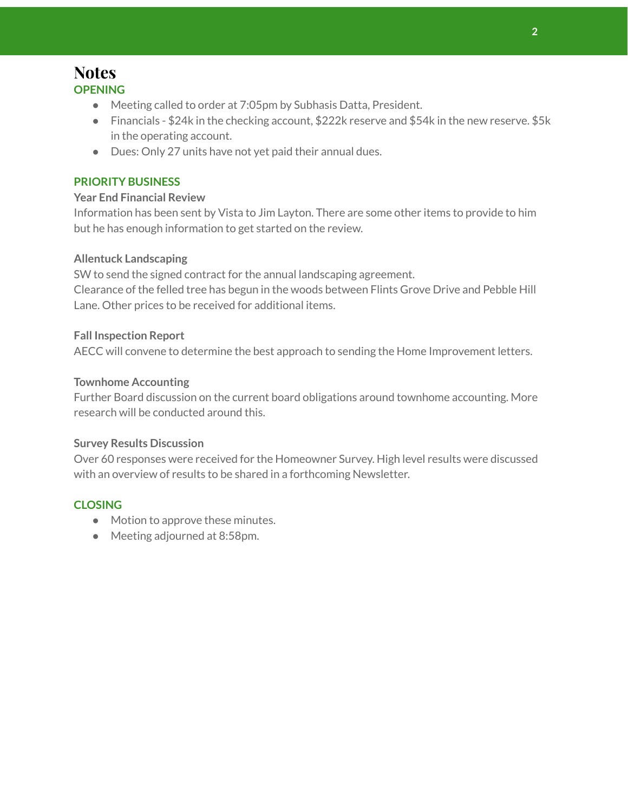### **Notes OPENING**

- Meeting called to order at 7:05pm by Subhasis Datta, President.
- Financials \$24k in the checking account, \$222k reserve and \$54k in the new reserve. \$5k in the operating account.
- Dues: Only 27 units have not yet paid their annual dues.

#### **PRIORITY BUSINESS**

#### **Year End Financial Review**

Information has been sent by Vista to Jim Layton. There are some other items to provide to him but he has enough information to get started on the review.

#### **Allentuck Landscaping**

SW to send the signed contract for the annual landscaping agreement. Clearance of the felled tree has begun in the woods between Flints Grove Drive and Pebble Hill Lane. Other prices to be received for additional items.

#### **Fall Inspection Report**

AECC will convene to determine the best approach to sending the Home Improvement letters.

#### **Townhome Accounting**

Further Board discussion on the current board obligations around townhome accounting. More research will be conducted around this.

#### **Survey Results Discussion**

Over 60 responses were received for the Homeowner Survey. High level results were discussed with an overview of results to be shared in a forthcoming Newsletter.

#### **CLOSING**

- Motion to approve these minutes.
- Meeting adjourned at 8:58pm.